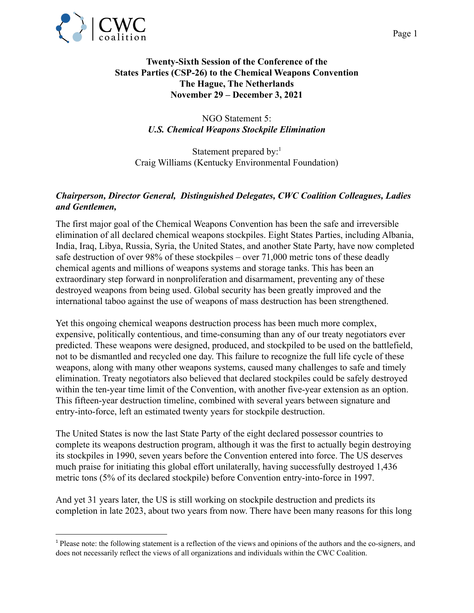

## **Twenty-Sixth Session of the Conference of the States Parties (CSP-26) to the Chemical Weapons Convention The Hague, The Netherlands November 29 – December 3, 2021**

## NGO Statement 5: *U.S. Chemical Weapons Stockpile Elimination*

Statement prepared by:<sup>1</sup> Craig Williams (Kentucky Environmental Foundation)

## *Chairperson, Director General, Distinguished Delegates, CWC Coalition Colleagues, Ladies and Gentlemen,*

The first major goal of the Chemical Weapons Convention has been the safe and irreversible elimination of all declared chemical weapons stockpiles. Eight States Parties, including Albania, India, Iraq, Libya, Russia, Syria, the United States, and another State Party, have now completed safe destruction of over 98% of these stockpiles – over 71,000 metric tons of these deadly chemical agents and millions of weapons systems and storage tanks. This has been an extraordinary step forward in nonproliferation and disarmament, preventing any of these destroyed weapons from being used. Global security has been greatly improved and the international taboo against the use of weapons of mass destruction has been strengthened.

Yet this ongoing chemical weapons destruction process has been much more complex, expensive, politically contentious, and time-consuming than any of our treaty negotiators ever predicted. These weapons were designed, produced, and stockpiled to be used on the battlefield, not to be dismantled and recycled one day. This failure to recognize the full life cycle of these weapons, along with many other weapons systems, caused many challenges to safe and timely elimination. Treaty negotiators also believed that declared stockpiles could be safely destroyed within the ten-year time limit of the Convention, with another five-year extension as an option. This fifteen-year destruction timeline, combined with several years between signature and entry-into-force, left an estimated twenty years for stockpile destruction.

The United States is now the last State Party of the eight declared possessor countries to complete its weapons destruction program, although it was the first to actually begin destroying its stockpiles in 1990, seven years before the Convention entered into force. The US deserves much praise for initiating this global effort unilaterally, having successfully destroyed 1,436 metric tons (5% of its declared stockpile) before Convention entry-into-force in 1997.

And yet 31 years later, the US is still working on stockpile destruction and predicts its completion in late 2023, about two years from now. There have been many reasons for this long

<sup>&</sup>lt;sup>1</sup> Please note: the following statement is a reflection of the views and opinions of the authors and the co-signers, and does not necessarily reflect the views of all organizations and individuals within the CWC Coalition.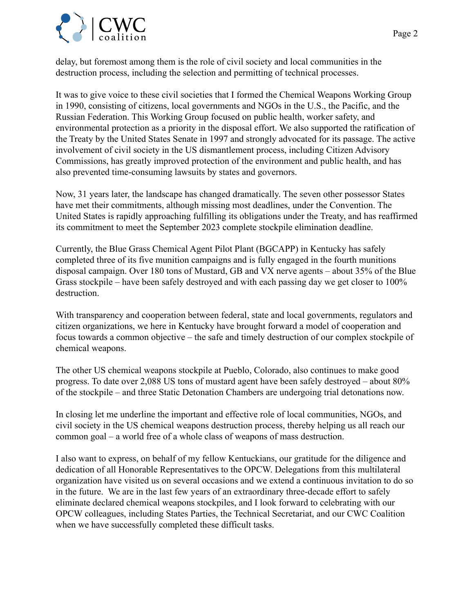



delay, but foremost among them is the role of civil society and local communities in the destruction process, including the selection and permitting of technical processes.

It was to give voice to these civil societies that I formed the Chemical Weapons Working Group in 1990, consisting of citizens, local governments and NGOs in the U.S., the Pacific, and the Russian Federation. This Working Group focused on public health, worker safety, and environmental protection as a priority in the disposal effort. We also supported the ratification of the Treaty by the United States Senate in 1997 and strongly advocated for its passage. The active involvement of civil society in the US dismantlement process, including Citizen Advisory Commissions, has greatly improved protection of the environment and public health, and has also prevented time-consuming lawsuits by states and governors.

Now, 31 years later, the landscape has changed dramatically. The seven other possessor States have met their commitments, although missing most deadlines, under the Convention. The United States is rapidly approaching fulfilling its obligations under the Treaty, and has reaffirmed its commitment to meet the September 2023 complete stockpile elimination deadline.

Currently, the Blue Grass Chemical Agent Pilot Plant (BGCAPP) in Kentucky has safely completed three of its five munition campaigns and is fully engaged in the fourth munitions disposal campaign. Over 180 tons of Mustard, GB and VX nerve agents – about 35% of the Blue Grass stockpile – have been safely destroyed and with each passing day we get closer to 100% destruction.

With transparency and cooperation between federal, state and local governments, regulators and citizen organizations, we here in Kentucky have brought forward a model of cooperation and focus towards a common objective – the safe and timely destruction of our complex stockpile of chemical weapons.

The other US chemical weapons stockpile at Pueblo, Colorado, also continues to make good progress. To date over 2,088 US tons of mustard agent have been safely destroyed – about 80% of the stockpile – and three Static Detonation Chambers are undergoing trial detonations now.

In closing let me underline the important and effective role of local communities, NGOs, and civil society in the US chemical weapons destruction process, thereby helping us all reach our common goal – a world free of a whole class of weapons of mass destruction.

I also want to express, on behalf of my fellow Kentuckians, our gratitude for the diligence and dedication of all Honorable Representatives to the OPCW. Delegations from this multilateral organization have visited us on several occasions and we extend a continuous invitation to do so in the future. We are in the last few years of an extraordinary three-decade effort to safely eliminate declared chemical weapons stockpiles, and I look forward to celebrating with our OPCW colleagues, including States Parties, the Technical Secretariat, and our CWC Coalition when we have successfully completed these difficult tasks.